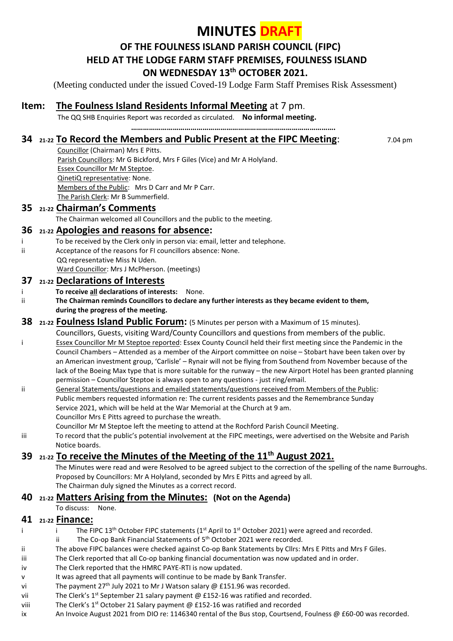# **MINUTES DRAFT**

## **OF THE FOULNESS ISLAND PARISH COUNCIL (FIPC) HELD AT THE LODGE FARM STAFF PREMISES, FOULNESS ISLAND ON WEDNESDAY 13 th OCTOBER 2021.**

**………………………………………………………………………………………….**

(Meeting conducted under the issued Coved-19 Lodge Farm Staff Premises Risk Assessment)

## **Item: The Foulness Island Residents Informal Meeting** at 7 pm.

The QQ SHB Enquiries Report was recorded as circulated. **No informal meeting.**

### **34 21-22 To Record the Members and Public Present at the FIPC Meeting**: 7.04 pm

Councillor (Chairman) Mrs E Pitts. Parish Councillors: Mr G Bickford, Mrs F Giles (Vice) and Mr A Holyland. Essex Councillor Mr M Steptoe. QinetiQ representative: None. Members of the Public: Mrs D Carr and Mr P Carr. The Parish Clerk: Mr B Summerfield.

#### **35 21-22 Chairman's Comments**

The Chairman welcomed all Councillors and the public to the meeting.

## **36 21-22 Apologies and reasons for absence:**

- i To be received by the Clerk only in person via: email, letter and telephone.
- ii Acceptance of the reasons for FI councillors absence: None.
	- QQ representative Miss N Uden. Ward Councillor: Mrs J McPherson. (meetings)

#### **37 21-22 Declarations of Interests**

- i **To receive all declarations of interests:** None.
- ii **The Chairman reminds Councillors to declare any further interests as they became evident to them, during the progress of the meeting.**

#### **38 21-22 Foulness Island Public Forum:** (5 Minutes per person with a Maximum of 15 minutes).

- Councillors, Guests, visiting Ward/County Councillors and questions from members of the public. i Essex Councillor Mr M Steptoe reported: Essex County Council held their first meeting since the Pandemic in the Council Chambers – Attended as a member of the Airport committee on noise – Stobart have been taken over by an American investment group, 'Carlisle' – Rynair will not be flying from Southend from November because of the lack of the Boeing Max type that is more suitable for the runway – the new Airport Hotel has been granted planning permission – Councillor Steptoe is always open to any questions - just ring/email.
- ii General Statements/questions and emailed statements/questions received from Members of the Public: Public members requested information re: The current residents passes and the Remembrance Sunday Service 2021, which will be held at the War Memorial at the Church at 9 am. Councillor Mrs E Pitts agreed to purchase the wreath.
	- Councillor Mr M Steptoe left the meeting to attend at the Rochford Parish Council Meeting.
- iii To record that the public's potential involvement at the FIPC meetings, were advertised on the Website and Parish Notice boards.

## **39 21-22 To receive the Minutes of the Meeting of the 11th August 2021.**

 The Minutes were read and were Resolved to be agreed subject to the correction of the spelling of the name Burroughs. Proposed by Councillors: Mr A Holyland, seconded by Mrs E Pitts and agreed by all. The Chairman duly signed the Minutes as a correct record.

## **40 21-22 Matters Arising from the Minutes: (Not on the Agenda)**

To discuss: None.

#### **41 21-22 Finance:**

- i interpredient The FIPC 13<sup>th</sup> October FIPC statements (1<sup>st</sup> April to 1<sup>st</sup> October 2021) were agreed and recorded.
- ii The Co-op Bank Financial Statements of 5<sup>th</sup> October 2021 were recorded.
- ii The above FIPC balances were checked against Co-op Bank Statements by Cllrs: Mrs E Pitts and Mrs F Giles.
- iii The Clerk reported that all Co-op banking financial documentation was now updated and in order.
- iv The Clerk reported that the HMRC PAYE-RTI is now updated.
- v It was agreed that all payments will continue to be made by Bank Transfer.
- vi The payment 27<sup>th</sup> July 2021 to Mr J Watson salary @ £151.96 was recorded.
- vii The Clerk's  $1^{st}$  September 21 salary payment @ £152-16 was ratified and recorded.
- viii The Clerk's  $1^{st}$  October 21 Salary payment @ £152-16 was ratified and recorded
- ix An Invoice August 2021 from DIO re: 1146340 rental of the Bus stop, Courtsend, Foulness @ £60-00 was recorded.